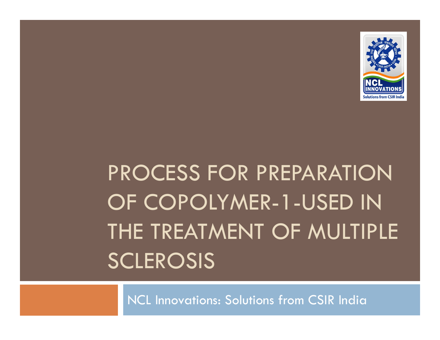

# PROCESS FOR PREPARATION OF COPOLYMER-1-USED IN THE TREATMENT OF MULTIPLE SCLEROSIS

NCL Innovations: Solutions from CSIR India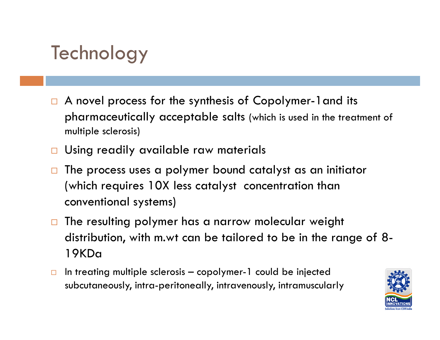#### **Technology**

- $\Box$ A novel process for the synthesis of Copolymer-1 and its pharmaceutically acceptable salts (which is used in the treatment of multiple sclerosis)
- Using readily available raw materials
- $\Box$  The process uses a polymer bound catalyst as an initiator (which requires 10X less catalyst concentration than conventional systems)
- $\Box$  The resulting polymer has a narrow molecular weight distribution, with m.wt can be tailored to be in the range of 8-19KDa
- $\Box$ In treating multiple sclerosis – copolymer-1 could be injected subcutaneously, intra-peritoneally, intravenously, intramuscularly

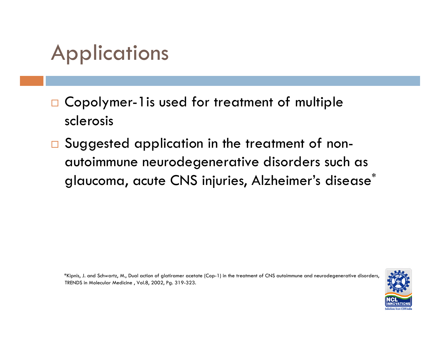### Applications

- $\Box$  Copolymer-1is used for treatment of multiple sclerosis
- $\Box$ Suggested application in the treatment of nonautoimmune neurodegenerative disorders such as glaucoma, acute CNS injuries, Alzheimer's disease\*

\*Kipnis, J. and Schwartz, M., Dual action of glatiramer acetate (Cop-1) in the treatment of CNS autoimmune and neurodegenerative disorders, TRENDS in Molecular Medicine , Vol.8, 2002, Pg. 319-323.

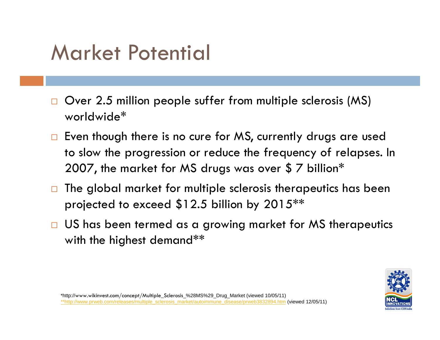### Market Potential

- $\Box$  $\Box$  Over 2.5 million people suffer from multiple sclerosis (MS) worldwide\*
- $\Box$  Even though there is no cure for MS, currently drugs are used to slow the progression or reduce the frequency of relapses. In 2007, the market for MS drugs was over \$ 7 billion\*
- $\Box$  The global market for multiple sclerosis therapeutics has been projected to exceed \$12.5 billion by 2015\*\*
- $\Box$  US has been termed as a growing market for MS therapeutics with the highest demand\*\*

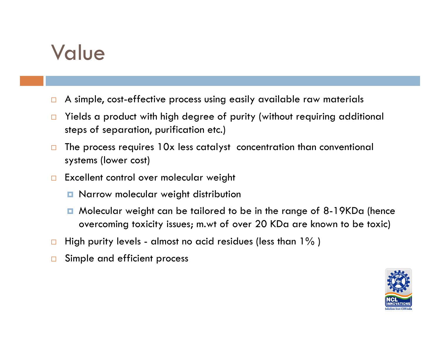#### Value

- $\Box$ A simple, cost-effective process using easily available raw materials
- $\Box$  Yields a product with high degree of purity (without requiring additional steps of separation, purification etc.)
- $\Box$  The process requires 10x less catalyst concentration than conventional systems (lower cost)
- $\Box$  Excellent control over molecular weight
	- $\blacksquare$  Narrow molecular weight distribution
	- Molecular weight can be tailored to be in the range of 8-19KDa (hence overcoming toxicity issues; m.wt of over 20 KDa are known to be toxic)
- $\Box$ High purity levels - almost no acid residues (less than 1% )
- $\Box$ Simple and efficient process

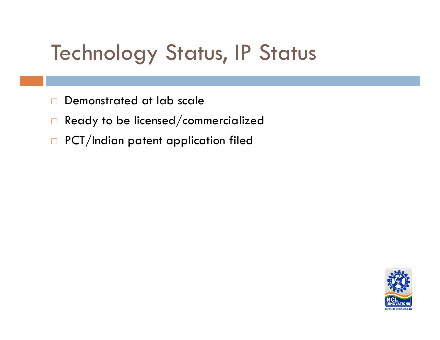## **Technology Status, IP Status**

- $\Box$ Demonstrated at lab scale
- $\Box$ Ready to be licensed/commercialized
- $\Box$ PCT/Indian patent application filed

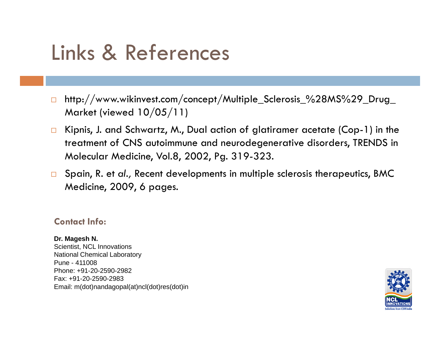### Links & References

- $\Box$  http://www.wikinvest.com/concept/Multiple\_Sclerosis\_%28MS%29\_Drug\_ Market (viewed 10/05/11)
- $\Box$  Kipnis, J. and Schwartz, M., Dual action of glatiramer acetate (Cop-1) in the treatment of CNS autoimmune and neurodegenerative disorders, TRENDS in Molecular Medicine, Vol.8, 2002, Pg. 319-323.
- Spain, R. et *al.,* Recent developments in multiple sclerosis therapeutics, BMC Medicine, 2009, 6 pages.

#### **Contact Info:**

**Dr. Magesh N.**  Scientist, NCL Innovations National Chemical Laboratory Pune - 411008Phone: +91-20-2590-2982Fax: +91-20-2590-2983 Email: m(dot)nandagopal(at)ncl(dot)res(dot)in